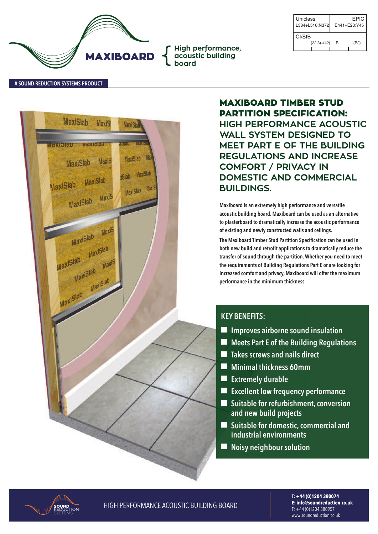

| Uniclass<br>L384+L516:N372 |   | EPIC<br>$F441 + F23.445$ |
|----------------------------|---|--------------------------|
| CI/Sf <sub>B</sub>         |   |                          |
| $(22.3)+(42)$              | R | (P2)                     |

**A SouNd REducTIoN SYSTEMS PRoducT**



**MAXIBOARD TIMBER STUD PARTITION SPECIFICATION: HIGH PERFORMANCE ACOUSTIC WALL SYSTEM DESIGNED TO MEET PART E OF THE BUILDING REGULATIONS AND INCREASE COMFORT / PRIVACY IN DOMESTIC AND COMMERCIAL BUILDINGS.**

**Maxiboard is an extremely high performance and versatile acoustic building board. Maxiboard can be used as an alternative to plasterboard to dramatically increase the acoustic performance of existing and newly constructed walls and ceilings.**

**The Maxiboard Timber Stud Partition Specification can be used in both new build and retrofit applications to dramatically reduce the transfer of sound through the partition.Whether you need to meet the requirements of Building Regulations Part E or are looking for increased comfort and privacy, Maxiboard will offer the maximum performance in the minimum thickness.**

# **KEY BENEFITS:**

- n **Improves airborne sound insulation**
- n **Meets Part E of the Building Regulations**
- n **Takes screws and nails direct**
- n **Minimal thickness 60mm**
- **Extremely durable**
- n **Excellent low frequency performance**
- Suitable for refurbishment, conversion **and new build projects**
- Suitable for domestic, commercial and **industrial environments**
- n **Noisy neighbour solution**



**HIGH PERFORMANCE ACOUSTIC BUILDING BOARD** 

**T: +44 (0)1204 380074 E: info@soundreduction.co.uk** f: +44 (0)1204 380957 www.soundreduction.co.uk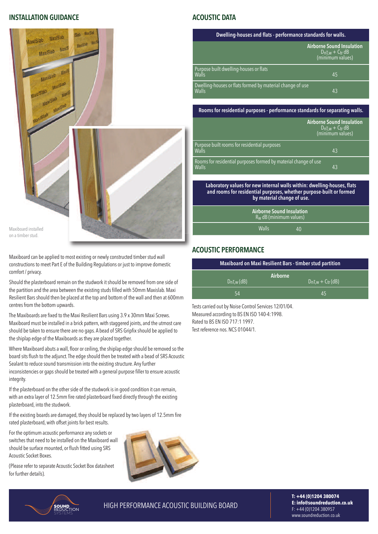#### **INSTALLATIoN GuIdANcE**



maxiboard installed on a timberstud.

maxiboard can be applied to most existing or newlyconstructed timberstud wall constructions to meet Part E of the Building Regulations or just to improve domestic comfort / privacy.

Should the plasterboard remain on the studwork it should be removed from one side of the partition and the area between the existing studs filled with 50mm Maxislab. Maxi Resilient Bars should then be placed at the top and bottom of the wall and then at 600mm centres from the bottom upwards.

The Maxiboards are fixed to the Maxi Resilient Bars using 3.9 x 30mm Maxi Screws. Maxiboard must be installed in a brick pattern, with staggered joints, and the utmost care should be taken to ensure there are no gaps. A bead of SRS Gripfix should be applied to the shiplap edge of the Maxiboards as they are placed together.

Where Maxiboard abuts a wall, floor or ceiling, the shiplap edge should be removed so the board sits flush to the adjunct. The edge should then be treated with a bead of SRS Acoustic Sealant to reduce sound transmission into the existing structure. Any further inconsistencies or gaps should be treated with a general purpose filler to ensure acoustic integrity.

If the plasterboard on the other side of the studwork is in good condition it can remain, with an extra layer of 12.5mm fire rated plasterboard fixed directly through the existing plasterboard, into the studwork.

If the existing boards are damaged, they should be replaced by two layers of 12.5mm fire rated plasterboard, with offset joints for best results.

for the optimum acoustic performance anysockets or switches that need to be installed on the Maxiboard wall should be surface mounted, or flush fitted using SRS Acoustic Socket Boxes.

(Please refer to separate Acoustic Socket Box datasheet for further details).



#### **AcouSTIc dATA**

| Dwelling-houses and flats - performance standards for walls.       |                                                                         |  |  |  |
|--------------------------------------------------------------------|-------------------------------------------------------------------------|--|--|--|
|                                                                    | <b>Airborne Sound Insulation</b><br>$DnLw + Ctr dB$<br>(minimum values) |  |  |  |
| Purpose built dwelling-houses or flats<br>Walls                    | 45                                                                      |  |  |  |
| Dwelling-houses or flats formed by material change of use<br>Walls | 43                                                                      |  |  |  |

#### **Rooms for residential purposes - performance standards for separating walls.**

|                                                                                                                                                                              | <b>Airborne Sound Insulation</b><br>$D_{nT,w} + C_{tr} dB$<br>(minimum values) |  |
|------------------------------------------------------------------------------------------------------------------------------------------------------------------------------|--------------------------------------------------------------------------------|--|
| Purpose built rooms for residential purposes<br>Walls                                                                                                                        | 43                                                                             |  |
| Rooms for residential purposes formed by material change of use<br><b>Walls</b>                                                                                              | 43                                                                             |  |
| Laboratory values for new internal walls within: dwelling-houses, flats<br>and rooms for residential purposes, whether purpose-built or formed<br>by material change of use. |                                                                                |  |
| <b>Airborne Sound Insulation</b>                                                                                                                                             |                                                                                |  |

 $R_W$  dB (minimum values)

Walls 40

#### **AcouSTIc PERFoRMANcE**

| <b>Maxiboard on Maxi Resilient Bars - timber stud partition</b> |                                    |  |  |  |  |
|-----------------------------------------------------------------|------------------------------------|--|--|--|--|
| $D_{nLw}$ (dB)                                                  | Airborne<br>$D_{nLw} + C_{tr}(dB)$ |  |  |  |  |
| 54                                                              | 45                                 |  |  |  |  |

Tests carried out by Noise Control Services 12/01/04. Measured according to BS EN ISO 140-4:1998. Rated to BS EN ISO 717:1 1997. Test reference nos. NCS 01044/1.

SOUND<br>Reduction

**HIGH PERFORMANCE ACOUSTIC BUILDING BOARD** 

**T: +44 (0)1204 380074 E: info@soundreduction.co.uk** f: +44 (0)1204 380957 www.soundreduction.co.uk